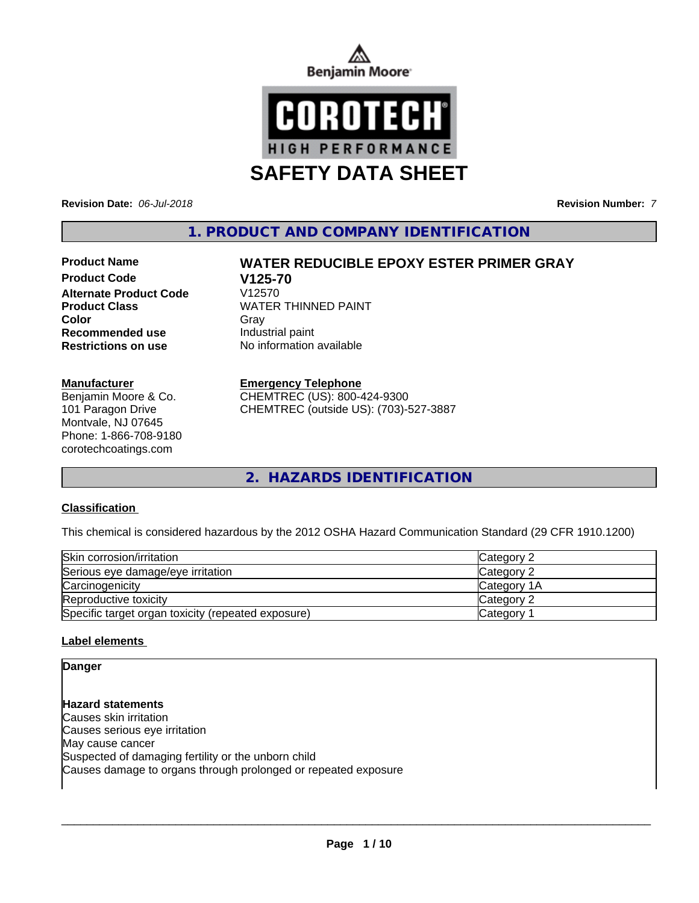



**Revision Date:** *06-Jul-2018* **Revision Number:** *7*

**1. PRODUCT AND COMPANY IDENTIFICATION**

# **Product Code V125-70 Alternate Product Code Recommended use Industrial paint**

## **Manufacturer**

Benjamin Moore & Co. 101 Paragon Drive Montvale, NJ 07645 Phone: 1-866-708-9180 corotechcoatings.com

# **Product Name WATER REDUCIBLE EPOXY ESTER PRIMER GRAY**

**Product Class WATER THINNED PAINT Color** Gray Gray **Restrictions on use** No information available

## **Emergency Telephone**

CHEMTREC (US): 800-424-9300 CHEMTREC (outside US): (703)-527-3887

**2. HAZARDS IDENTIFICATION**

# **Classification**

This chemical is considered hazardous by the 2012 OSHA Hazard Communication Standard (29 CFR 1910.1200)

| Skin corrosion/irritation                          | <b>Category 2</b>  |
|----------------------------------------------------|--------------------|
| Serious eye damage/eye irritation                  | <b>Category 2</b>  |
| Carcinogenicity                                    | <b>Category 1A</b> |
| Reproductive toxicity                              | <b>Category 2</b>  |
| Specific target organ toxicity (repeated exposure) | Category           |

# **Label elements**

**Danger**

**Hazard statements** Causes skin irritation Causes serious eye irritation May cause cancer Suspected of damaging fertility or the unborn child Causes damage to organs through prolonged or repeated exposure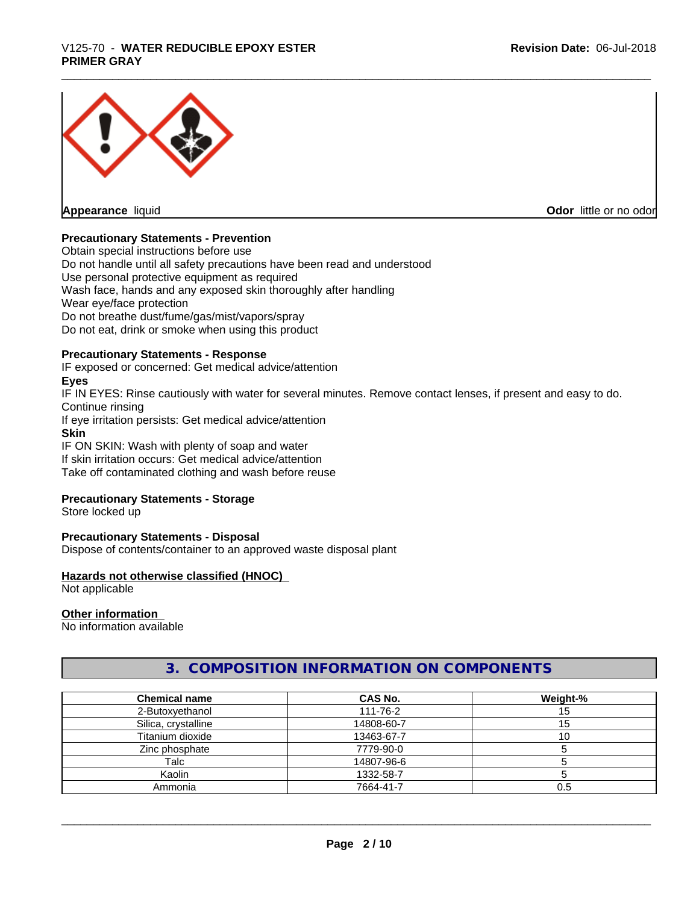# \_\_\_\_\_\_\_\_\_\_\_\_\_\_\_\_\_\_\_\_\_\_\_\_\_\_\_\_\_\_\_\_\_\_\_\_\_\_\_\_\_\_\_\_\_\_\_\_\_\_\_\_\_\_\_\_\_\_\_\_\_\_\_\_\_\_\_\_\_\_\_\_\_\_\_\_\_\_\_\_\_\_\_\_\_\_\_\_\_\_\_\_\_ V125-70 - **WATER REDUCIBLE EPOXY ESTER PRIMER GRAY**



**Appearance** liquid **Contract Contract Contract Contract Contract Contract Contract Contract Contract Contract Contract Contract Contract Contract Contract Contract Contract Contract Contract Contract Contract Contract Con** 

# **Precautionary Statements - Prevention**

Obtain special instructions before use Do not handle until all safety precautions have been read and understood Use personal protective equipment as required Wash face, hands and any exposed skin thoroughly after handling Wear eye/face protection Do not breathe dust/fume/gas/mist/vapors/spray Do not eat, drink or smoke when using this product

## **Precautionary Statements - Response**

IF exposed or concerned: Get medical advice/attention

## **Eyes**

IF IN EYES: Rinse cautiously with water for several minutes. Remove contact lenses, if present and easy to do. Continue rinsing If eye irritation persists: Get medical advice/attention **Skin**

IF ON SKIN: Wash with plenty of soap and water

If skin irritation occurs: Get medical advice/attention

Take off contaminated clothing and wash before reuse

## **Precautionary Statements - Storage**

Store locked up

## **Precautionary Statements - Disposal**

Dispose of contents/container to an approved waste disposal plant

## **Hazards not otherwise classified (HNOC)**

Not applicable

## **Other information**

No information available

# **3. COMPOSITION INFORMATION ON COMPONENTS**

| <b>Chemical name</b> | <b>CAS No.</b> | Weight-% |
|----------------------|----------------|----------|
| 2-Butoxyethanol      | 111-76-2       | 15       |
| Silica, crystalline  | 14808-60-7     | 15       |
| Titanium dioxide     | 13463-67-7     | ιv       |
| Zinc phosphate       | 7779-90-0      |          |
| Talc                 | 14807-96-6     |          |
| Kaolin               | 1332-58-7      |          |
| Ammonia              | 7664-41-7      | 0.5      |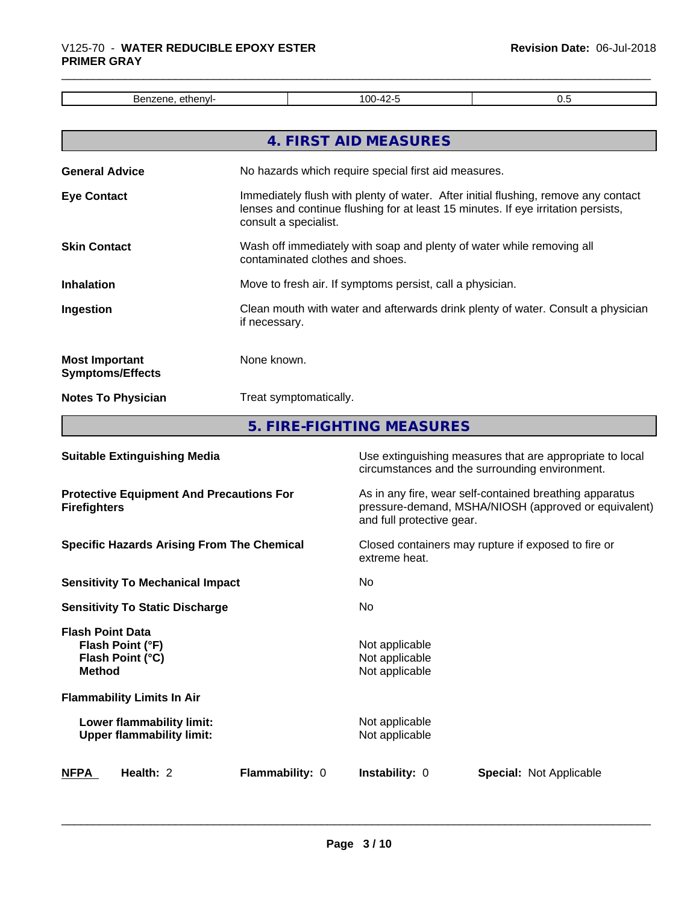| $711 -$<br>. .<br>1 W.T<br>н<br>.<br>- 1<br>. | ′00-<br>. | ີ |
|-----------------------------------------------|-----------|---|

|                                                  | 4. FIRST AID MEASURES                                                                                                                                                                            |
|--------------------------------------------------|--------------------------------------------------------------------------------------------------------------------------------------------------------------------------------------------------|
| <b>General Advice</b>                            | No hazards which require special first aid measures.                                                                                                                                             |
| <b>Eye Contact</b>                               | Immediately flush with plenty of water. After initial flushing, remove any contact<br>lenses and continue flushing for at least 15 minutes. If eye irritation persists,<br>consult a specialist. |
| <b>Skin Contact</b>                              | Wash off immediately with soap and plenty of water while removing all<br>contaminated clothes and shoes.                                                                                         |
| <b>Inhalation</b>                                | Move to fresh air. If symptoms persist, call a physician.                                                                                                                                        |
| Ingestion                                        | Clean mouth with water and afterwards drink plenty of water. Consult a physician<br>if necessary.                                                                                                |
| <b>Most Important</b><br><b>Symptoms/Effects</b> | None known.                                                                                                                                                                                      |
| <b>Notes To Physician</b>                        | Treat symptomatically.                                                                                                                                                                           |
|                                                  |                                                                                                                                                                                                  |

**5. FIRE-FIGHTING MEASURES**

| <b>Suitable Extinguishing Media</b>                                              | Use extinguishing measures that are appropriate to local<br>circumstances and the surrounding environment.                                   |
|----------------------------------------------------------------------------------|----------------------------------------------------------------------------------------------------------------------------------------------|
| <b>Protective Equipment And Precautions For</b><br><b>Firefighters</b>           | As in any fire, wear self-contained breathing apparatus<br>pressure-demand, MSHA/NIOSH (approved or equivalent)<br>and full protective gear. |
| <b>Specific Hazards Arising From The Chemical</b>                                | Closed containers may rupture if exposed to fire or<br>extreme heat.                                                                         |
| <b>Sensitivity To Mechanical Impact</b>                                          | No.                                                                                                                                          |
| <b>Sensitivity To Static Discharge</b>                                           | No.                                                                                                                                          |
| <b>Flash Point Data</b><br>Flash Point (°F)<br>Flash Point (°C)<br><b>Method</b> | Not applicable<br>Not applicable<br>Not applicable                                                                                           |
| <b>Flammability Limits In Air</b>                                                |                                                                                                                                              |
| Lower flammability limit:<br><b>Upper flammability limit:</b>                    | Not applicable<br>Not applicable                                                                                                             |
| Health: 2<br><b>Flammability: 0</b><br><b>NFPA</b>                               | <b>Instability: 0</b><br><b>Special: Not Applicable</b>                                                                                      |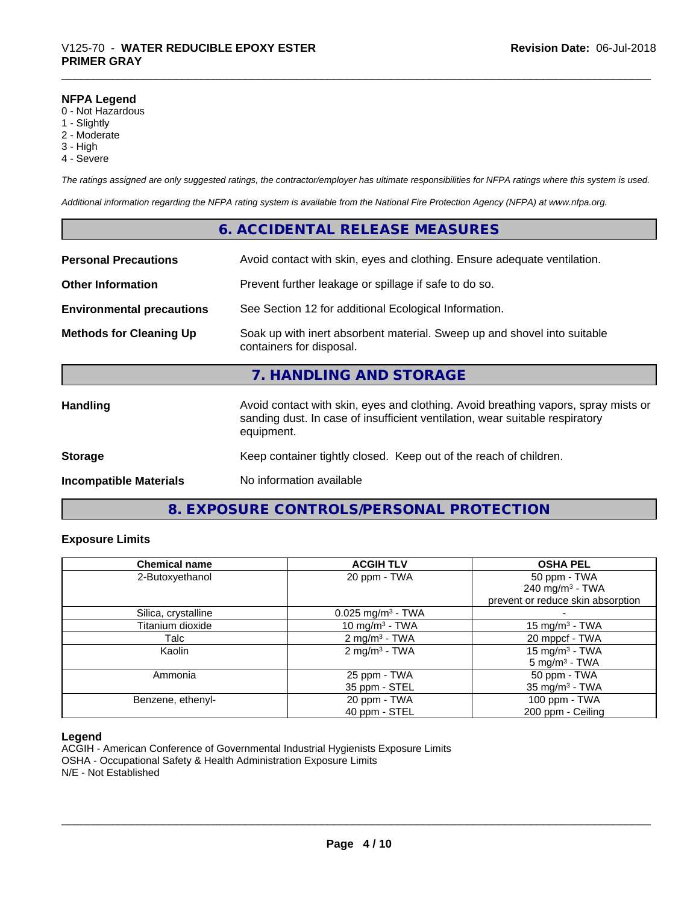#### **NFPA Legend**

- 0 Not Hazardous
- 1 Slightly
- 2 Moderate
- 3 High
- 4 Severe

*The ratings assigned are only suggested ratings, the contractor/employer has ultimate responsibilities for NFPA ratings where this system is used.*

*Additional information regarding the NFPA rating system is available from the National Fire Protection Agency (NFPA) at www.nfpa.org.*

# **6. ACCIDENTAL RELEASE MEASURES**

| <b>Personal Precautions</b>      | Avoid contact with skin, eyes and clothing. Ensure adequate ventilation.                                                                                                         |
|----------------------------------|----------------------------------------------------------------------------------------------------------------------------------------------------------------------------------|
| <b>Other Information</b>         | Prevent further leakage or spillage if safe to do so.                                                                                                                            |
| <b>Environmental precautions</b> | See Section 12 for additional Ecological Information.                                                                                                                            |
| <b>Methods for Cleaning Up</b>   | Soak up with inert absorbent material. Sweep up and shovel into suitable<br>containers for disposal.                                                                             |
|                                  | 7. HANDLING AND STORAGE                                                                                                                                                          |
| <b>Handling</b>                  | Avoid contact with skin, eyes and clothing. Avoid breathing vapors, spray mists or<br>sanding dust. In case of insufficient ventilation, wear suitable respiratory<br>equipment. |
| <b>Storage</b>                   | Keep container tightly closed. Keep out of the reach of children.                                                                                                                |
| <b>Incompatible Materials</b>    | No information available                                                                                                                                                         |

# **8. EXPOSURE CONTROLS/PERSONAL PROTECTION**

# **Exposure Limits**

| <b>Chemical name</b> | <b>ACGIH TLV</b>                | <b>OSHA PEL</b>                   |
|----------------------|---------------------------------|-----------------------------------|
| 2-Butoxyethanol      | 20 ppm - TWA                    | 50 ppm - TWA                      |
|                      |                                 | 240 mg/m $3$ - TWA                |
|                      |                                 | prevent or reduce skin absorption |
| Silica, crystalline  | $0.025$ mg/m <sup>3</sup> - TWA |                                   |
| Titanium dioxide     | 10 mg/m <sup>3</sup> - TWA      | 15 mg/m <sup>3</sup> - TWA        |
| Talc                 | $2 \text{ mg/m}^3$ - TWA        | 20 mppcf - TWA                    |
| Kaolin               | 2 mg/m <sup>3</sup> - TWA       | 15 mg/m $3$ - TWA                 |
|                      |                                 | $5 \text{ mg/m}^3$ - TWA          |
| Ammonia              | 25 ppm - TWA                    | 50 ppm - TWA                      |
|                      | 35 ppm - STEL                   | 35 mg/m $3$ - TWA                 |
| Benzene, ethenyl-    | 20 ppm - TWA                    | 100 ppm - TWA                     |
|                      | 40 ppm - STEL                   | 200 ppm - Ceiling                 |

## **Legend**

ACGIH - American Conference of Governmental Industrial Hygienists Exposure Limits OSHA - Occupational Safety & Health Administration Exposure Limits N/E - Not Established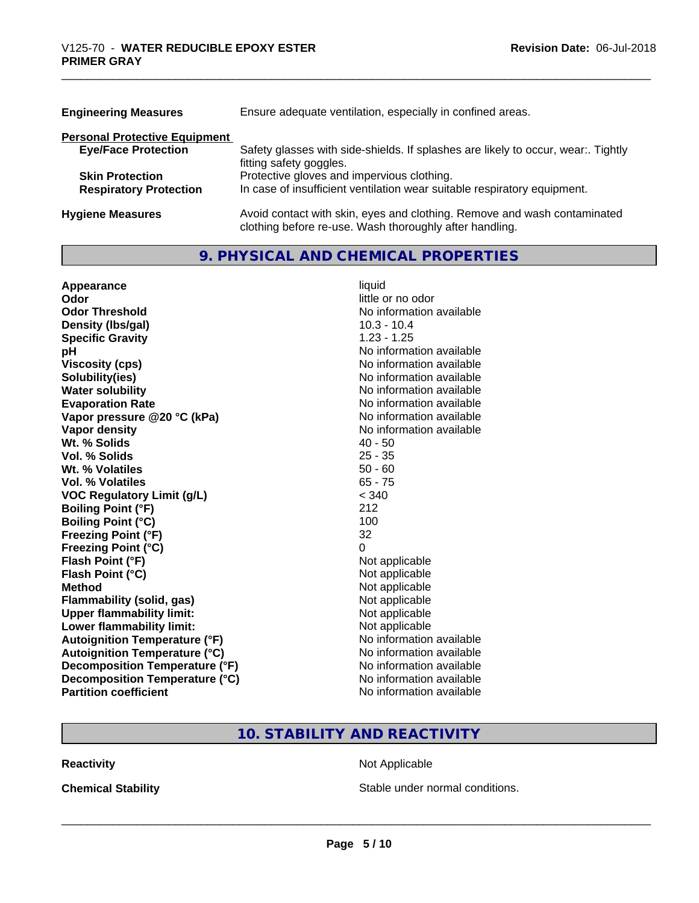| <b>Engineering Measures</b>          | Ensure adequate ventilation, especially in confined areas.                                                                          |
|--------------------------------------|-------------------------------------------------------------------------------------------------------------------------------------|
| <b>Personal Protective Equipment</b> |                                                                                                                                     |
| <b>Eye/Face Protection</b>           | Safety glasses with side-shields. If splashes are likely to occur, wear:. Tightly<br>fitting safety goggles.                        |
| <b>Skin Protection</b>               | Protective gloves and impervious clothing.                                                                                          |
| <b>Respiratory Protection</b>        | In case of insufficient ventilation wear suitable respiratory equipment.                                                            |
| <b>Hygiene Measures</b>              | Avoid contact with skin, eyes and clothing. Remove and wash contaminated<br>clothing before re-use. Wash thoroughly after handling. |

# **9. PHYSICAL AND CHEMICAL PROPERTIES**

| Appearance                           | liquid                   |
|--------------------------------------|--------------------------|
| Odor                                 | little or no odor        |
| <b>Odor Threshold</b>                | No information available |
| Density (Ibs/gal)                    | $10.3 - 10.4$            |
| <b>Specific Gravity</b>              | $1.23 - 1.25$            |
| pH                                   | No information available |
| <b>Viscosity (cps)</b>               | No information available |
| Solubility(ies)                      | No information available |
| <b>Water solubility</b>              | No information available |
| <b>Evaporation Rate</b>              | No information available |
| Vapor pressure @20 °C (kPa)          | No information available |
| Vapor density                        | No information available |
| Wt. % Solids                         | $40 - 50$                |
| Vol. % Solids                        | $25 - 35$                |
| Wt. % Volatiles                      | $50 - 60$                |
| Vol. % Volatiles                     | $65 - 75$                |
| <b>VOC Regulatory Limit (g/L)</b>    | < 340                    |
| <b>Boiling Point (°F)</b>            | 212                      |
| <b>Boiling Point (°C)</b>            | 100                      |
| <b>Freezing Point (°F)</b>           | 32                       |
| <b>Freezing Point (°C)</b>           | 0                        |
| Flash Point (°F)                     | Not applicable           |
| Flash Point (°C)                     | Not applicable           |
| <b>Method</b>                        | Not applicable           |
| <b>Flammability (solid, gas)</b>     | Not applicable           |
| <b>Upper flammability limit:</b>     | Not applicable           |
| Lower flammability limit:            | Not applicable           |
| <b>Autoignition Temperature (°F)</b> | No information available |
| <b>Autoignition Temperature (°C)</b> | No information available |
| Decomposition Temperature (°F)       | No information available |
| Decomposition Temperature (°C)       | No information available |
| <b>Partition coefficient</b>         | No information available |

# **10. STABILITY AND REACTIVITY**

**Reactivity Not Applicable** 

**Chemical Stability Chemical Stability** Stable under normal conditions.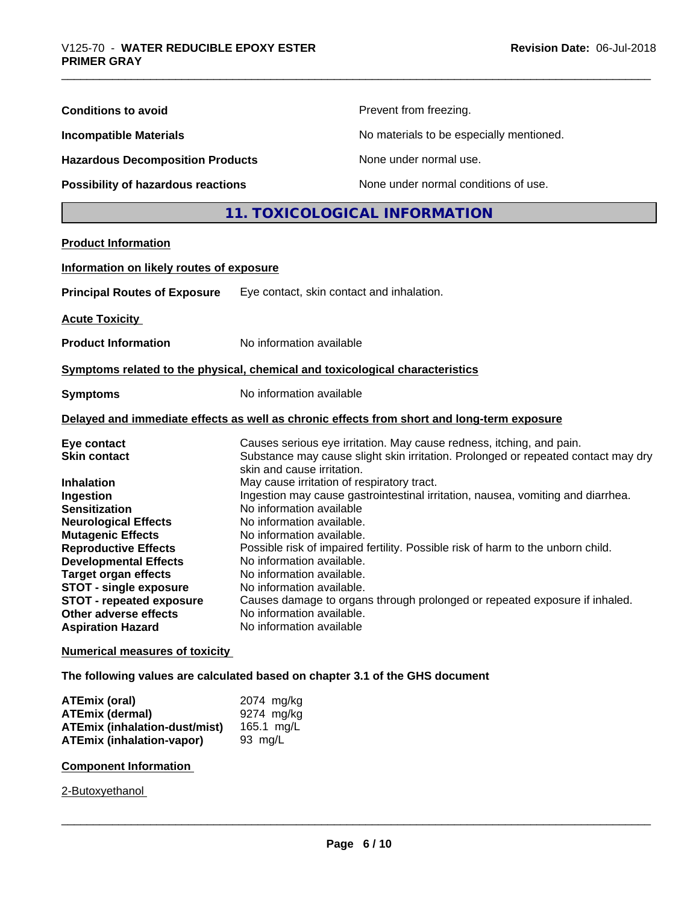| <b>Conditions to avoid</b><br>Prevent from freezing.<br>No materials to be especially mentioned.<br><b>Incompatible Materials</b><br><b>Hazardous Decomposition Products</b><br>None under normal use.<br>None under normal conditions of use.<br>Possibility of hazardous reactions<br>11. TOXICOLOGICAL INFORMATION<br><b>Product Information</b><br>Information on likely routes of exposure<br><b>Principal Routes of Exposure</b><br>Eye contact, skin contact and inhalation.<br><b>Acute Toxicity</b><br><b>Product Information</b><br>No information available<br>Symptoms related to the physical, chemical and toxicological characteristics<br>No information available<br><b>Symptoms</b><br>Delayed and immediate effects as well as chronic effects from short and long-term exposure<br>Causes serious eye irritation. May cause redness, itching, and pain.<br>Eye contact<br>Substance may cause slight skin irritation. Prolonged or repeated contact may dry<br><b>Skin contact</b><br>skin and cause irritation.<br>May cause irritation of respiratory tract.<br><b>Inhalation</b><br>Ingestion may cause gastrointestinal irritation, nausea, vomiting and diarrhea.<br>Ingestion<br>No information available<br><b>Sensitization</b><br>No information available.<br><b>Neurological Effects</b><br><b>Mutagenic Effects</b><br>No information available.<br><b>Reproductive Effects</b><br>Possible risk of impaired fertility. Possible risk of harm to the unborn child.<br><b>Developmental Effects</b><br>No information available.<br>No information available.<br><b>Target organ effects</b><br><b>STOT - single exposure</b><br>No information available.<br><b>STOT - repeated exposure</b><br>Causes damage to organs through prolonged or repeated exposure if inhaled.<br>No information available.<br>Other adverse effects<br>No information available<br><b>Aspiration Hazard</b><br><b>Numerical measures of toxicity</b><br>The following values are calculated based on chapter 3.1 of the GHS document<br>2074 mg/kg<br><b>ATEmix (oral)</b><br><b>ATEmix (dermal)</b><br>9274 mg/kg<br><b>ATEmix (inhalation-dust/mist)</b><br>165.1 mg/L<br><b>ATEmix (inhalation-vapor)</b><br>93 mg/L<br><b>Component Information</b><br>2-Butoxyethanol |  |  |  |  |
|-----------------------------------------------------------------------------------------------------------------------------------------------------------------------------------------------------------------------------------------------------------------------------------------------------------------------------------------------------------------------------------------------------------------------------------------------------------------------------------------------------------------------------------------------------------------------------------------------------------------------------------------------------------------------------------------------------------------------------------------------------------------------------------------------------------------------------------------------------------------------------------------------------------------------------------------------------------------------------------------------------------------------------------------------------------------------------------------------------------------------------------------------------------------------------------------------------------------------------------------------------------------------------------------------------------------------------------------------------------------------------------------------------------------------------------------------------------------------------------------------------------------------------------------------------------------------------------------------------------------------------------------------------------------------------------------------------------------------------------------------------------------------------------------------------------------------------------------------------------------------------------------------------------------------------------------------------------------------------------------------------------------------------------------------------------------------------------------------------------------------------------------------------------------------------------------------------------------------------------------------------------------------------------------|--|--|--|--|
|                                                                                                                                                                                                                                                                                                                                                                                                                                                                                                                                                                                                                                                                                                                                                                                                                                                                                                                                                                                                                                                                                                                                                                                                                                                                                                                                                                                                                                                                                                                                                                                                                                                                                                                                                                                                                                                                                                                                                                                                                                                                                                                                                                                                                                                                                         |  |  |  |  |
|                                                                                                                                                                                                                                                                                                                                                                                                                                                                                                                                                                                                                                                                                                                                                                                                                                                                                                                                                                                                                                                                                                                                                                                                                                                                                                                                                                                                                                                                                                                                                                                                                                                                                                                                                                                                                                                                                                                                                                                                                                                                                                                                                                                                                                                                                         |  |  |  |  |
|                                                                                                                                                                                                                                                                                                                                                                                                                                                                                                                                                                                                                                                                                                                                                                                                                                                                                                                                                                                                                                                                                                                                                                                                                                                                                                                                                                                                                                                                                                                                                                                                                                                                                                                                                                                                                                                                                                                                                                                                                                                                                                                                                                                                                                                                                         |  |  |  |  |
|                                                                                                                                                                                                                                                                                                                                                                                                                                                                                                                                                                                                                                                                                                                                                                                                                                                                                                                                                                                                                                                                                                                                                                                                                                                                                                                                                                                                                                                                                                                                                                                                                                                                                                                                                                                                                                                                                                                                                                                                                                                                                                                                                                                                                                                                                         |  |  |  |  |
|                                                                                                                                                                                                                                                                                                                                                                                                                                                                                                                                                                                                                                                                                                                                                                                                                                                                                                                                                                                                                                                                                                                                                                                                                                                                                                                                                                                                                                                                                                                                                                                                                                                                                                                                                                                                                                                                                                                                                                                                                                                                                                                                                                                                                                                                                         |  |  |  |  |
|                                                                                                                                                                                                                                                                                                                                                                                                                                                                                                                                                                                                                                                                                                                                                                                                                                                                                                                                                                                                                                                                                                                                                                                                                                                                                                                                                                                                                                                                                                                                                                                                                                                                                                                                                                                                                                                                                                                                                                                                                                                                                                                                                                                                                                                                                         |  |  |  |  |
|                                                                                                                                                                                                                                                                                                                                                                                                                                                                                                                                                                                                                                                                                                                                                                                                                                                                                                                                                                                                                                                                                                                                                                                                                                                                                                                                                                                                                                                                                                                                                                                                                                                                                                                                                                                                                                                                                                                                                                                                                                                                                                                                                                                                                                                                                         |  |  |  |  |
|                                                                                                                                                                                                                                                                                                                                                                                                                                                                                                                                                                                                                                                                                                                                                                                                                                                                                                                                                                                                                                                                                                                                                                                                                                                                                                                                                                                                                                                                                                                                                                                                                                                                                                                                                                                                                                                                                                                                                                                                                                                                                                                                                                                                                                                                                         |  |  |  |  |
|                                                                                                                                                                                                                                                                                                                                                                                                                                                                                                                                                                                                                                                                                                                                                                                                                                                                                                                                                                                                                                                                                                                                                                                                                                                                                                                                                                                                                                                                                                                                                                                                                                                                                                                                                                                                                                                                                                                                                                                                                                                                                                                                                                                                                                                                                         |  |  |  |  |
|                                                                                                                                                                                                                                                                                                                                                                                                                                                                                                                                                                                                                                                                                                                                                                                                                                                                                                                                                                                                                                                                                                                                                                                                                                                                                                                                                                                                                                                                                                                                                                                                                                                                                                                                                                                                                                                                                                                                                                                                                                                                                                                                                                                                                                                                                         |  |  |  |  |
|                                                                                                                                                                                                                                                                                                                                                                                                                                                                                                                                                                                                                                                                                                                                                                                                                                                                                                                                                                                                                                                                                                                                                                                                                                                                                                                                                                                                                                                                                                                                                                                                                                                                                                                                                                                                                                                                                                                                                                                                                                                                                                                                                                                                                                                                                         |  |  |  |  |
|                                                                                                                                                                                                                                                                                                                                                                                                                                                                                                                                                                                                                                                                                                                                                                                                                                                                                                                                                                                                                                                                                                                                                                                                                                                                                                                                                                                                                                                                                                                                                                                                                                                                                                                                                                                                                                                                                                                                                                                                                                                                                                                                                                                                                                                                                         |  |  |  |  |
|                                                                                                                                                                                                                                                                                                                                                                                                                                                                                                                                                                                                                                                                                                                                                                                                                                                                                                                                                                                                                                                                                                                                                                                                                                                                                                                                                                                                                                                                                                                                                                                                                                                                                                                                                                                                                                                                                                                                                                                                                                                                                                                                                                                                                                                                                         |  |  |  |  |
|                                                                                                                                                                                                                                                                                                                                                                                                                                                                                                                                                                                                                                                                                                                                                                                                                                                                                                                                                                                                                                                                                                                                                                                                                                                                                                                                                                                                                                                                                                                                                                                                                                                                                                                                                                                                                                                                                                                                                                                                                                                                                                                                                                                                                                                                                         |  |  |  |  |
|                                                                                                                                                                                                                                                                                                                                                                                                                                                                                                                                                                                                                                                                                                                                                                                                                                                                                                                                                                                                                                                                                                                                                                                                                                                                                                                                                                                                                                                                                                                                                                                                                                                                                                                                                                                                                                                                                                                                                                                                                                                                                                                                                                                                                                                                                         |  |  |  |  |
|                                                                                                                                                                                                                                                                                                                                                                                                                                                                                                                                                                                                                                                                                                                                                                                                                                                                                                                                                                                                                                                                                                                                                                                                                                                                                                                                                                                                                                                                                                                                                                                                                                                                                                                                                                                                                                                                                                                                                                                                                                                                                                                                                                                                                                                                                         |  |  |  |  |
|                                                                                                                                                                                                                                                                                                                                                                                                                                                                                                                                                                                                                                                                                                                                                                                                                                                                                                                                                                                                                                                                                                                                                                                                                                                                                                                                                                                                                                                                                                                                                                                                                                                                                                                                                                                                                                                                                                                                                                                                                                                                                                                                                                                                                                                                                         |  |  |  |  |
|                                                                                                                                                                                                                                                                                                                                                                                                                                                                                                                                                                                                                                                                                                                                                                                                                                                                                                                                                                                                                                                                                                                                                                                                                                                                                                                                                                                                                                                                                                                                                                                                                                                                                                                                                                                                                                                                                                                                                                                                                                                                                                                                                                                                                                                                                         |  |  |  |  |
|                                                                                                                                                                                                                                                                                                                                                                                                                                                                                                                                                                                                                                                                                                                                                                                                                                                                                                                                                                                                                                                                                                                                                                                                                                                                                                                                                                                                                                                                                                                                                                                                                                                                                                                                                                                                                                                                                                                                                                                                                                                                                                                                                                                                                                                                                         |  |  |  |  |
|                                                                                                                                                                                                                                                                                                                                                                                                                                                                                                                                                                                                                                                                                                                                                                                                                                                                                                                                                                                                                                                                                                                                                                                                                                                                                                                                                                                                                                                                                                                                                                                                                                                                                                                                                                                                                                                                                                                                                                                                                                                                                                                                                                                                                                                                                         |  |  |  |  |
|                                                                                                                                                                                                                                                                                                                                                                                                                                                                                                                                                                                                                                                                                                                                                                                                                                                                                                                                                                                                                                                                                                                                                                                                                                                                                                                                                                                                                                                                                                                                                                                                                                                                                                                                                                                                                                                                                                                                                                                                                                                                                                                                                                                                                                                                                         |  |  |  |  |
|                                                                                                                                                                                                                                                                                                                                                                                                                                                                                                                                                                                                                                                                                                                                                                                                                                                                                                                                                                                                                                                                                                                                                                                                                                                                                                                                                                                                                                                                                                                                                                                                                                                                                                                                                                                                                                                                                                                                                                                                                                                                                                                                                                                                                                                                                         |  |  |  |  |
|                                                                                                                                                                                                                                                                                                                                                                                                                                                                                                                                                                                                                                                                                                                                                                                                                                                                                                                                                                                                                                                                                                                                                                                                                                                                                                                                                                                                                                                                                                                                                                                                                                                                                                                                                                                                                                                                                                                                                                                                                                                                                                                                                                                                                                                                                         |  |  |  |  |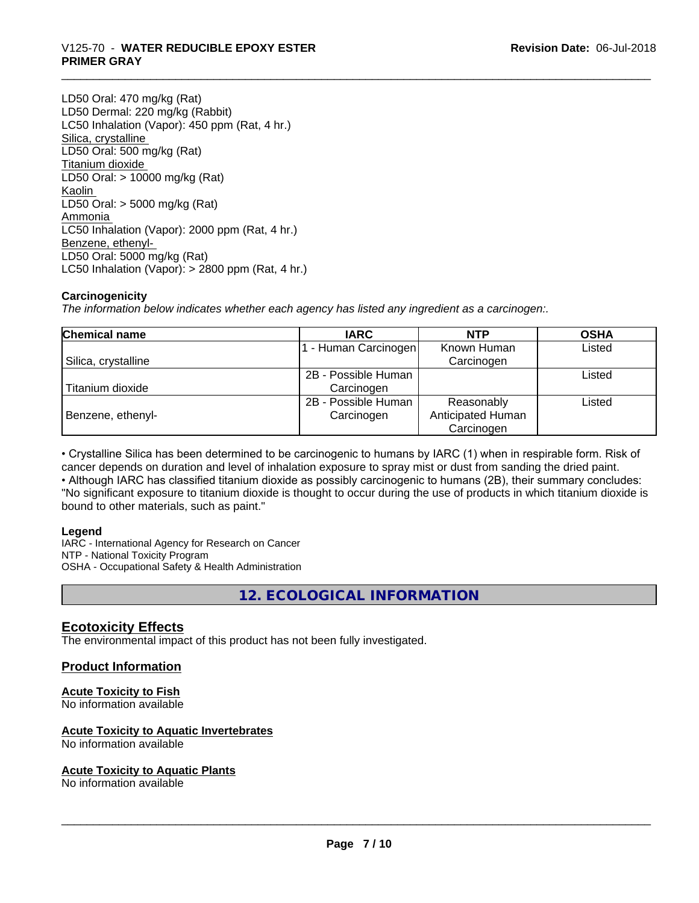# \_\_\_\_\_\_\_\_\_\_\_\_\_\_\_\_\_\_\_\_\_\_\_\_\_\_\_\_\_\_\_\_\_\_\_\_\_\_\_\_\_\_\_\_\_\_\_\_\_\_\_\_\_\_\_\_\_\_\_\_\_\_\_\_\_\_\_\_\_\_\_\_\_\_\_\_\_\_\_\_\_\_\_\_\_\_\_\_\_\_\_\_\_ V125-70 - **WATER REDUCIBLE EPOXY ESTER PRIMER GRAY**

LD50 Oral: 470 mg/kg (Rat) LD50 Dermal: 220 mg/kg (Rabbit) LC50 Inhalation (Vapor): 450 ppm (Rat, 4 hr.) Silica, crystalline LD50 Oral: 500 mg/kg (Rat) Titanium dioxide LD50 Oral: > 10000 mg/kg (Rat) Kaolin LD50 Oral: > 5000 mg/kg (Rat) Ammonia LC50 Inhalation (Vapor): 2000 ppm (Rat, 4 hr.) Benzene, ethenyl-LD50 Oral: 5000 mg/kg (Rat) LC50 Inhalation (Vapor): > 2800 ppm (Rat, 4 hr.)

# **Carcinogenicity**

*The information below indicateswhether each agency has listed any ingredient as a carcinogen:.*

| <b>Chemical name</b> | <b>IARC</b>         | <b>NTP</b>        | <b>OSHA</b> |
|----------------------|---------------------|-------------------|-------------|
|                      | - Human Carcinogen  | Known Human       | Listed      |
| Silica, crystalline  |                     | Carcinogen        |             |
|                      | 2B - Possible Human |                   | Listed      |
| Titanium dioxide     | Carcinogen          |                   |             |
|                      | 2B - Possible Human | Reasonably        | Listed      |
| Benzene, ethenyl-    | Carcinogen          | Anticipated Human |             |
|                      |                     | Carcinogen        |             |

• Crystalline Silica has been determined to be carcinogenic to humans by IARC (1) when in respirable form. Risk of cancer depends on duration and level of inhalation exposure to spray mist or dust from sanding the dried paint.• Although IARC has classified titanium dioxide as possibly carcinogenic to humans (2B), their summary concludes: "No significant exposure to titanium dioxide is thought to occur during the use of products in which titanium dioxide is

bound to other materials, such as paint."

## **Legend**

IARC - International Agency for Research on Cancer NTP - National Toxicity Program OSHA - Occupational Safety & Health Administration

**12. ECOLOGICAL INFORMATION**

# **Ecotoxicity Effects**

The environmental impact of this product has not been fully investigated.

# **Product Information**

# **Acute Toxicity to Fish**

No information available

## **Acute Toxicity to Aquatic Invertebrates**

No information available

## **Acute Toxicity to Aquatic Plants**

No information available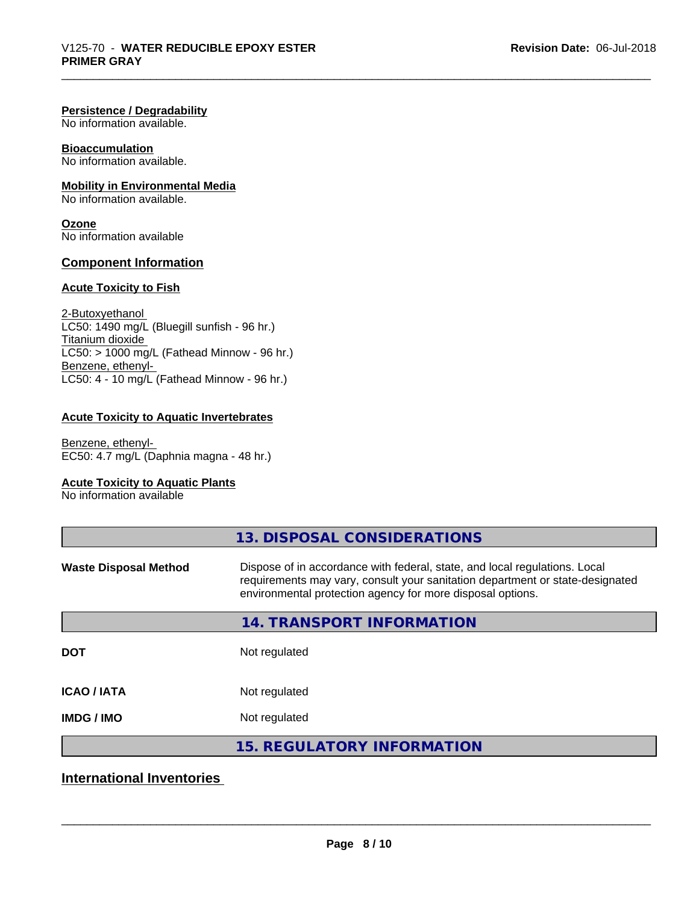#### **Persistence / Degradability**

No information available.

# **Bioaccumulation**

No information available.

# **Mobility in Environmental Media**

No information available.

**Ozone** No information available

## **Component Information**

## **Acute Toxicity to Fish**

2-Butoxyethanol  $LC50: 1490$  mg/L (Bluegill sunfish - 96 hr.) Titanium dioxide  $LC50:$  > 1000 mg/L (Fathead Minnow - 96 hr.) Benzene, ethenyl-LC50: 4 - 10 mg/L (Fathead Minnow - 96 hr.)

## **Acute Toxicity to Aquatic Invertebrates**

Benzene, ethenyl-EC50: 4.7 mg/L (Daphnia magna - 48 hr.)

# **Acute Toxicity to Aquatic Plants**

No information available

|                              | 13. DISPOSAL CONSIDERATIONS                                                                                                                                                                                               |
|------------------------------|---------------------------------------------------------------------------------------------------------------------------------------------------------------------------------------------------------------------------|
| <b>Waste Disposal Method</b> | Dispose of in accordance with federal, state, and local regulations. Local<br>requirements may vary, consult your sanitation department or state-designated<br>environmental protection agency for more disposal options. |
|                              | 14. TRANSPORT INFORMATION                                                                                                                                                                                                 |
| <b>DOT</b>                   | Not regulated                                                                                                                                                                                                             |
| <b>ICAO/IATA</b>             | Not regulated                                                                                                                                                                                                             |
| <b>IMDG/IMO</b>              | Not regulated                                                                                                                                                                                                             |
|                              | <b>15. REGULATORY INFORMATION</b>                                                                                                                                                                                         |

# **International Inventories**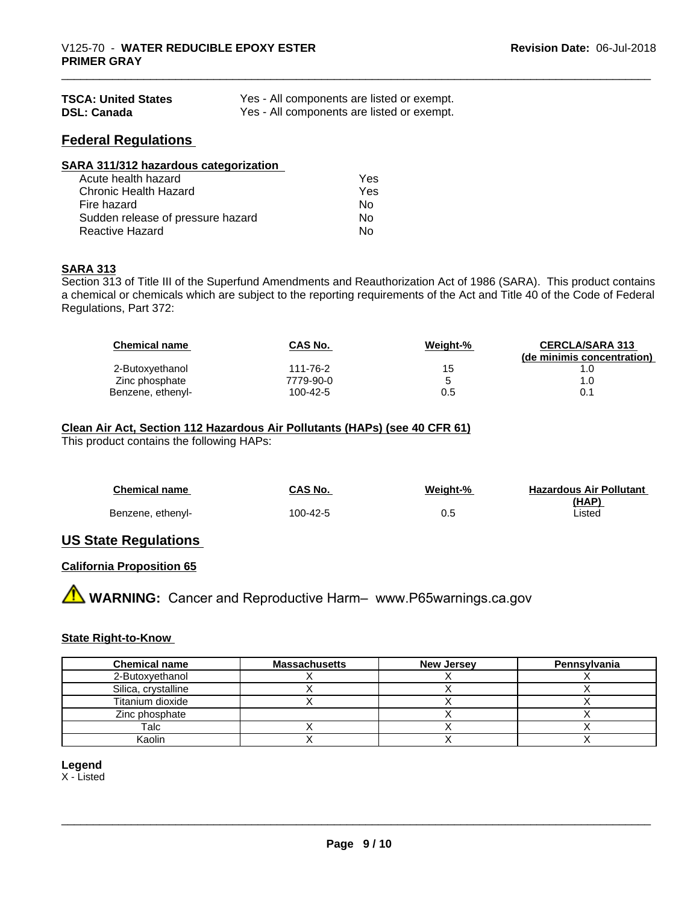| <b>TSCA: United States</b> | Yes - All components are listed or exempt. |
|----------------------------|--------------------------------------------|
| <b>DSL: Canada</b>         | Yes - All components are listed or exempt. |

# **Federal Regulations**

| SARA 311/312 hazardous categorization |     |  |
|---------------------------------------|-----|--|
| Acute health hazard                   | Yes |  |
| Chronic Health Hazard                 | Yes |  |
| Fire hazard                           | Nο  |  |
| Sudden release of pressure hazard     | Nο  |  |
| <b>Reactive Hazard</b>                | No  |  |

#### **SARA 313**

Section 313 of Title III of the Superfund Amendments and Reauthorization Act of 1986 (SARA). This product contains a chemical or chemicals which are subject to the reporting requirements of the Act and Title 40 of the Code of Federal Regulations, Part 372:

| <b>Chemical name</b> | CAS No.   | Weight-% | <b>CERCLA/SARA 313</b><br>(de minimis concentration) |
|----------------------|-----------|----------|------------------------------------------------------|
| 2-Butoxyethanol      | 111-76-2  | 15       |                                                      |
| Zinc phosphate       | 7779-90-0 |          |                                                      |
| Benzene, ethenyl-    | 100-42-5  | 0.5      | 0.1                                                  |

# **Clean Air Act,Section 112 Hazardous Air Pollutants (HAPs) (see 40 CFR 61)**

This product contains the following HAPs:

| <b>Chemical name</b> | <b>CAS No.</b> | Weight-% | <b>Hazardous Air Pollutant</b> |
|----------------------|----------------|----------|--------------------------------|
|                      |                |          | <u>(HAP)</u>                   |
| Benzene, ethenyl-    | 100-42-5       | 0.5      | ∟isted                         |

# **US State Regulations**

## **California Proposition 65**

**A WARNING:** Cancer and Reproductive Harm– www.P65warnings.ca.gov

## **State Right-to-Know**

| <b>Chemical name</b> | <b>Massachusetts</b> | <b>New Jersey</b> | Pennsylvania |
|----------------------|----------------------|-------------------|--------------|
| 2-Butoxvethanol      |                      |                   |              |
| Silica, crystalline  |                      |                   |              |
| Titanium dioxide     |                      |                   |              |
| Zinc phosphate       |                      |                   |              |
| Talc                 |                      |                   |              |
| Kaolin               |                      |                   |              |

**Legend**

X - Listed